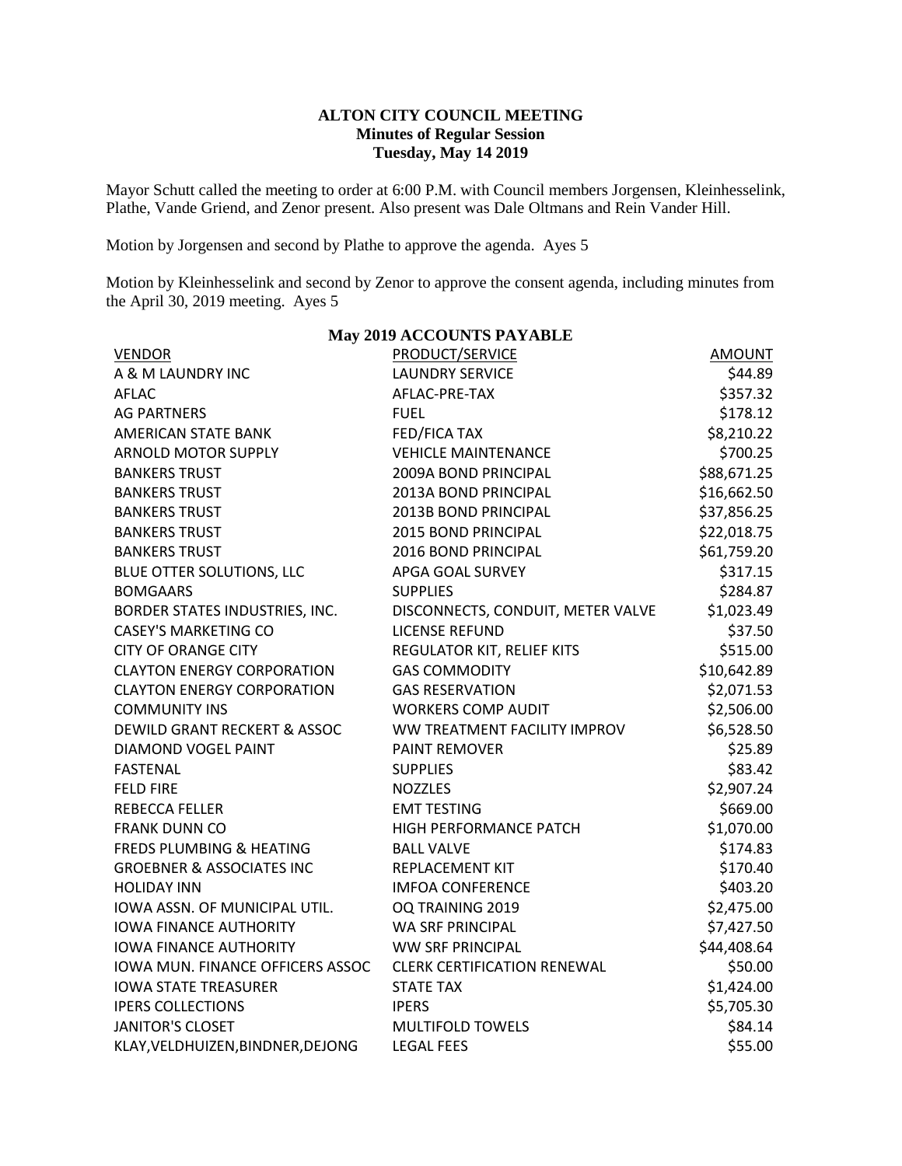## **ALTON CITY COUNCIL MEETING Minutes of Regular Session Tuesday, May 14 2019**

Mayor Schutt called the meeting to order at 6:00 P.M. with Council members Jorgensen, Kleinhesselink, Plathe, Vande Griend, and Zenor present. Also present was Dale Oltmans and Rein Vander Hill.

Motion by Jorgensen and second by Plathe to approve the agenda. Ayes 5

Motion by Kleinhesselink and second by Zenor to approve the consent agenda, including minutes from the April 30, 2019 meeting. Ayes 5

| <b>VENDOR</b>                           | <b>May 2017 ACCOUNTD FAILABLE</b><br><b>PRODUCT/SERVICE</b> | <b>AMOUNT</b> |
|-----------------------------------------|-------------------------------------------------------------|---------------|
| A & M LAUNDRY INC                       | <b>LAUNDRY SERVICE</b>                                      | \$44.89       |
| <b>AFLAC</b>                            | AFLAC-PRE-TAX                                               | \$357.32      |
| <b>AG PARTNERS</b>                      | <b>FUEL</b>                                                 | \$178.12      |
| <b>AMERICAN STATE BANK</b>              | FED/FICA TAX                                                | \$8,210.22    |
| <b>ARNOLD MOTOR SUPPLY</b>              | <b>VEHICLE MAINTENANCE</b>                                  | \$700.25      |
| <b>BANKERS TRUST</b>                    | 2009A BOND PRINCIPAL                                        | \$88,671.25   |
| <b>BANKERS TRUST</b>                    | 2013A BOND PRINCIPAL                                        | \$16,662.50   |
| <b>BANKERS TRUST</b>                    | 2013B BOND PRINCIPAL                                        | \$37,856.25   |
| <b>BANKERS TRUST</b>                    | 2015 BOND PRINCIPAL                                         | \$22,018.75   |
| <b>BANKERS TRUST</b>                    | 2016 BOND PRINCIPAL                                         | \$61,759.20   |
| BLUE OTTER SOLUTIONS, LLC               | APGA GOAL SURVEY                                            | \$317.15      |
| <b>BOMGAARS</b>                         | <b>SUPPLIES</b>                                             | \$284.87      |
| BORDER STATES INDUSTRIES, INC.          | DISCONNECTS, CONDUIT, METER VALVE                           | \$1,023.49    |
| <b>CASEY'S MARKETING CO</b>             | <b>LICENSE REFUND</b>                                       | \$37.50       |
| <b>CITY OF ORANGE CITY</b>              | REGULATOR KIT, RELIEF KITS                                  | \$515.00      |
| <b>CLAYTON ENERGY CORPORATION</b>       | <b>GAS COMMODITY</b>                                        | \$10,642.89   |
| <b>CLAYTON ENERGY CORPORATION</b>       | <b>GAS RESERVATION</b>                                      | \$2,071.53    |
| <b>COMMUNITY INS</b>                    | <b>WORKERS COMP AUDIT</b>                                   | \$2,506.00    |
| <b>DEWILD GRANT RECKERT &amp; ASSOC</b> | WW TREATMENT FACILITY IMPROV                                | \$6,528.50    |
| <b>DIAMOND VOGEL PAINT</b>              | <b>PAINT REMOVER</b>                                        | \$25.89       |
| <b>FASTENAL</b>                         | <b>SUPPLIES</b>                                             | \$83.42       |
| <b>FELD FIRE</b>                        | <b>NOZZLES</b>                                              | \$2,907.24    |
| <b>REBECCA FELLER</b>                   | <b>EMT TESTING</b>                                          | \$669.00      |
| <b>FRANK DUNN CO</b>                    | HIGH PERFORMANCE PATCH                                      | \$1,070.00    |
| <b>FREDS PLUMBING &amp; HEATING</b>     | <b>BALL VALVE</b>                                           | \$174.83      |
| <b>GROEBNER &amp; ASSOCIATES INC</b>    | REPLACEMENT KIT                                             | \$170.40      |
| <b>HOLIDAY INN</b>                      | <b>IMFOA CONFERENCE</b>                                     | \$403.20      |
| IOWA ASSN. OF MUNICIPAL UTIL.           | OQ TRAINING 2019                                            | \$2,475.00    |
| <b>IOWA FINANCE AUTHORITY</b>           | <b>WA SRF PRINCIPAL</b>                                     | \$7,427.50    |
| <b>IOWA FINANCE AUTHORITY</b>           | <b>WW SRF PRINCIPAL</b>                                     | \$44,408.64   |
| IOWA MUN. FINANCE OFFICERS ASSOC        | <b>CLERK CERTIFICATION RENEWAL</b>                          | \$50.00       |
| <b>IOWA STATE TREASURER</b>             | <b>STATE TAX</b>                                            | \$1,424.00    |
| <b>IPERS COLLECTIONS</b>                | <b>IPERS</b>                                                | \$5,705.30    |
| <b>JANITOR'S CLOSET</b>                 | <b>MULTIFOLD TOWELS</b>                                     | \$84.14       |
| KLAY, VELDHUIZEN, BINDNER, DEJONG       | <b>LEGAL FEES</b>                                           | \$55.00       |

#### **May 2019 ACCOUNTS PAYABLE**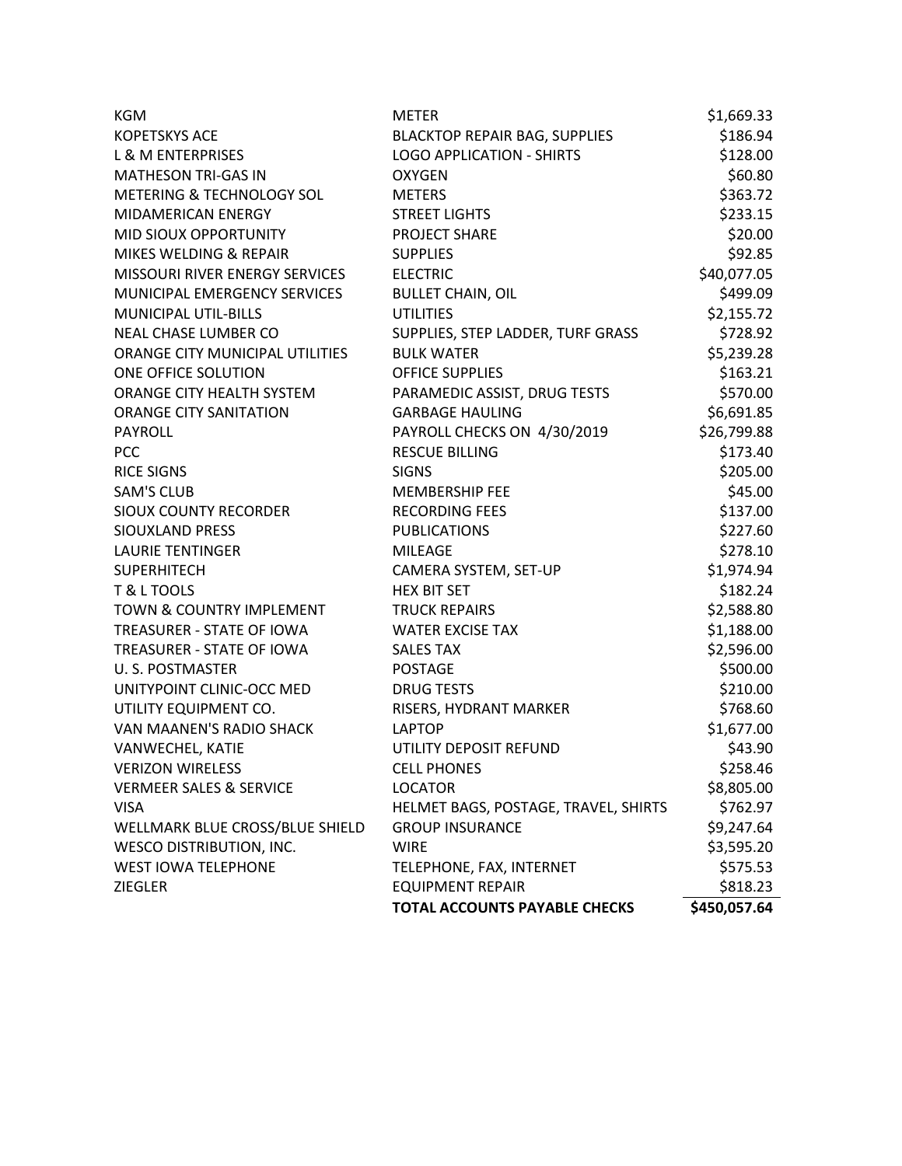| <b>KGM</b>                         | <b>METER</b>                         | \$1,669.33   |
|------------------------------------|--------------------------------------|--------------|
| <b>KOPETSKYS ACE</b>               | <b>BLACKTOP REPAIR BAG, SUPPLIES</b> | \$186.94     |
| <b>L &amp; M ENTERPRISES</b>       | <b>LOGO APPLICATION - SHIRTS</b>     | \$128.00     |
| <b>MATHESON TRI-GAS IN</b>         | <b>OXYGEN</b>                        | \$60.80      |
| METERING & TECHNOLOGY SOL          | <b>METERS</b>                        | \$363.72     |
| <b>MIDAMERICAN ENERGY</b>          | <b>STREET LIGHTS</b>                 | \$233.15     |
| MID SIOUX OPPORTUNITY              | <b>PROJECT SHARE</b>                 | \$20.00      |
| MIKES WELDING & REPAIR             | <b>SUPPLIES</b>                      | \$92.85      |
| MISSOURI RIVER ENERGY SERVICES     | <b>ELECTRIC</b>                      | \$40,077.05  |
| MUNICIPAL EMERGENCY SERVICES       | <b>BULLET CHAIN, OIL</b>             | \$499.09     |
| <b>MUNICIPAL UTIL-BILLS</b>        | <b>UTILITIES</b>                     | \$2,155.72   |
| <b>NEAL CHASE LUMBER CO</b>        | SUPPLIES, STEP LADDER, TURF GRASS    | \$728.92     |
| ORANGE CITY MUNICIPAL UTILITIES    | <b>BULK WATER</b>                    | \$5,239.28   |
| ONE OFFICE SOLUTION                | <b>OFFICE SUPPLIES</b>               | \$163.21     |
| ORANGE CITY HEALTH SYSTEM          | PARAMEDIC ASSIST, DRUG TESTS         | \$570.00     |
| <b>ORANGE CITY SANITATION</b>      | <b>GARBAGE HAULING</b>               | \$6,691.85   |
| PAYROLL                            | PAYROLL CHECKS ON 4/30/2019          | \$26,799.88  |
| <b>PCC</b>                         | <b>RESCUE BILLING</b>                | \$173.40     |
| <b>RICE SIGNS</b>                  | <b>SIGNS</b>                         | \$205.00     |
| <b>SAM'S CLUB</b>                  | <b>MEMBERSHIP FEE</b>                | \$45.00      |
| <b>SIOUX COUNTY RECORDER</b>       | <b>RECORDING FEES</b>                | \$137.00     |
| <b>SIOUXLAND PRESS</b>             | <b>PUBLICATIONS</b>                  | \$227.60     |
| <b>LAURIE TENTINGER</b>            | <b>MILEAGE</b>                       | \$278.10     |
| <b>SUPERHITECH</b>                 | CAMERA SYSTEM, SET-UP                | \$1,974.94   |
| T & L TOOLS                        | <b>HEX BIT SET</b>                   | \$182.24     |
| TOWN & COUNTRY IMPLEMENT           | <b>TRUCK REPAIRS</b>                 | \$2,588.80   |
| TREASURER - STATE OF IOWA          | <b>WATER EXCISE TAX</b>              | \$1,188.00   |
| TREASURER - STATE OF IOWA          | <b>SALES TAX</b>                     | \$2,596.00   |
| U. S. POSTMASTER                   | <b>POSTAGE</b>                       | \$500.00     |
| UNITYPOINT CLINIC-OCC MED          | <b>DRUG TESTS</b>                    | \$210.00     |
| UTILITY EQUIPMENT CO.              | RISERS, HYDRANT MARKER               | \$768.60     |
| VAN MAANEN'S RADIO SHACK           | <b>LAPTOP</b>                        | \$1,677.00   |
| VANWECHEL, KATIE                   | UTILITY DEPOSIT REFUND               | \$43.90      |
| <b>VERIZON WIRELESS</b>            | <b>CELL PHONES</b>                   | \$258.46     |
| <b>VERMEER SALES &amp; SERVICE</b> | <b>LOCATOR</b>                       | \$8,805.00   |
| <b>VISA</b>                        | HELMET BAGS, POSTAGE, TRAVEL, SHIRTS | \$762.97     |
| WELLMARK BLUE CROSS/BLUE SHIELD    | <b>GROUP INSURANCE</b>               | \$9,247.64   |
| <b>WESCO DISTRIBUTION, INC.</b>    | <b>WIRE</b>                          | \$3,595.20   |
| <b>WEST IOWA TELEPHONE</b>         | TELEPHONE, FAX, INTERNET             | \$575.53     |
| <b>ZIEGLER</b>                     | <b>EQUIPMENT REPAIR</b>              | \$818.23     |
|                                    | <b>TOTAL ACCOUNTS PAYABLE CHECKS</b> | \$450,057.64 |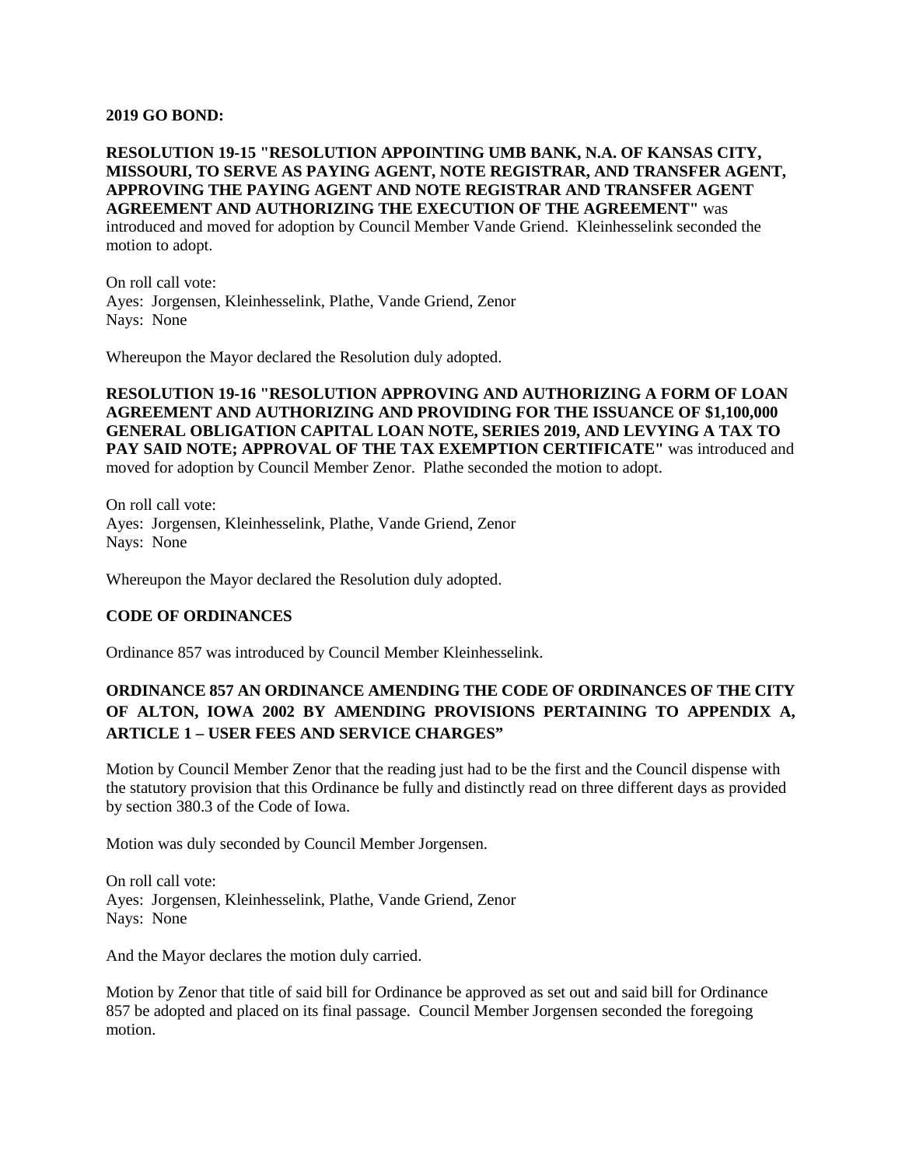#### **2019 GO BOND:**

## **RESOLUTION 19-15 "RESOLUTION APPOINTING UMB BANK, N.A. OF KANSAS CITY, MISSOURI, TO SERVE AS PAYING AGENT, NOTE REGISTRAR, AND TRANSFER AGENT, APPROVING THE PAYING AGENT AND NOTE REGISTRAR AND TRANSFER AGENT AGREEMENT AND AUTHORIZING THE EXECUTION OF THE AGREEMENT"** was introduced and moved for adoption by Council Member Vande Griend. Kleinhesselink seconded the motion to adopt.

On roll call vote: Ayes: Jorgensen, Kleinhesselink, Plathe, Vande Griend, Zenor Nays: None

Whereupon the Mayor declared the Resolution duly adopted.

**RESOLUTION 19-16 "RESOLUTION APPROVING AND AUTHORIZING A FORM OF LOAN AGREEMENT AND AUTHORIZING AND PROVIDING FOR THE ISSUANCE OF \$1,100,000 GENERAL OBLIGATION CAPITAL LOAN NOTE, SERIES 2019, AND LEVYING A TAX TO PAY SAID NOTE; APPROVAL OF THE TAX EXEMPTION CERTIFICATE"** was introduced and moved for adoption by Council Member Zenor. Plathe seconded the motion to adopt.

On roll call vote: Ayes: Jorgensen, Kleinhesselink, Plathe, Vande Griend, Zenor Nays: None

Whereupon the Mayor declared the Resolution duly adopted.

### **CODE OF ORDINANCES**

Ordinance 857 was introduced by Council Member Kleinhesselink.

# **ORDINANCE 857 AN ORDINANCE AMENDING THE CODE OF ORDINANCES OF THE CITY OF ALTON, IOWA 2002 BY AMENDING PROVISIONS PERTAINING TO APPENDIX A, ARTICLE 1 – USER FEES AND SERVICE CHARGES"**

Motion by Council Member Zenor that the reading just had to be the first and the Council dispense with the statutory provision that this Ordinance be fully and distinctly read on three different days as provided by section 380.3 of the Code of Iowa.

Motion was duly seconded by Council Member Jorgensen.

On roll call vote: Ayes: Jorgensen, Kleinhesselink, Plathe, Vande Griend, Zenor Nays: None

And the Mayor declares the motion duly carried.

Motion by Zenor that title of said bill for Ordinance be approved as set out and said bill for Ordinance 857 be adopted and placed on its final passage. Council Member Jorgensen seconded the foregoing motion.